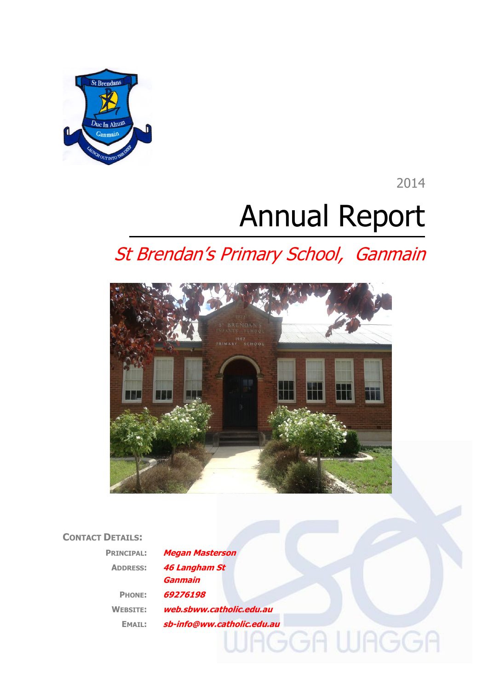

2014

# Annual Report

# St Brendan's Primary School, Ganmain



# **CONTACT DETAILS:**

| <b>PRINCIPAL:</b> | <b>Megan Masterson</b>     |  |
|-------------------|----------------------------|--|
| <b>ADDRESS:</b>   | <b>46 Langham St</b>       |  |
|                   | <b>Ganmain</b>             |  |
| <b>PHONE:</b>     | 69276198                   |  |
| <b>WEBSITE:</b>   | web.sbww.catholic.edu.au   |  |
| <b>EMAIL:</b>     | sb-info@ww.catholic.edu.au |  |
|                   |                            |  |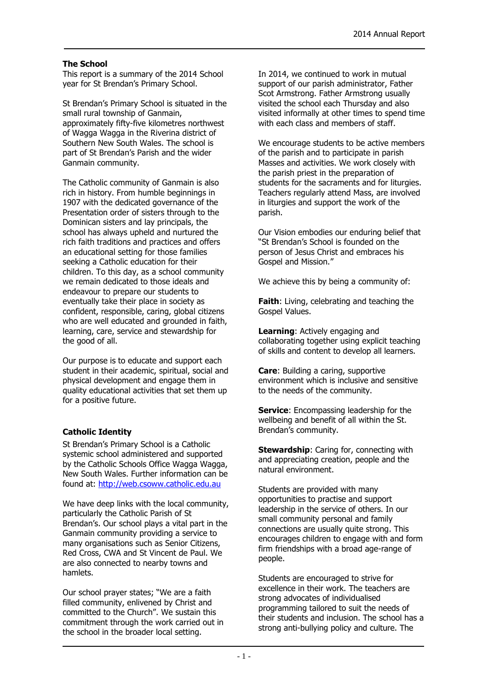#### **The School**

This report is a summary of the 2014 School year for St Brendan's Primary School.

St Brendan's Primary School is situated in the small rural township of Ganmain, approximately fifty-five kilometres northwest of Wagga Wagga in the Riverina district of Southern New South Wales. The school is part of St Brendan's Parish and the wider Ganmain community.

The Catholic community of Ganmain is also rich in history. From humble beginnings in 1907 with the dedicated governance of the Presentation order of sisters through to the Dominican sisters and lay principals, the school has always upheld and nurtured the rich faith traditions and practices and offers an educational setting for those families seeking a Catholic education for their children. To this day, as a school community we remain dedicated to those ideals and endeavour to prepare our students to eventually take their place in society as confident, responsible, caring, global citizens who are well educated and grounded in faith, learning, care, service and stewardship for the good of all.

Our purpose is to educate and support each student in their academic, spiritual, social and physical development and engage them in quality educational activities that set them up for a positive future.

#### **Catholic Identity**

St Brendan's Primary School is a Catholic systemic school administered and supported by the Catholic Schools Office Wagga Wagga, New South Wales. Further information can be found at: [http://web.csoww.catholic.edu.au](http://web.csoww.catholic.edu.au/)

We have deep links with the local community, particularly the Catholic Parish of St Brendan's. Our school plays a vital part in the Ganmain community providing a service to many organisations such as Senior Citizens, Red Cross, CWA and St Vincent de Paul. We are also connected to nearby towns and hamlets.

Our school prayer states; "We are a faith filled community, enlivened by Christ and committed to the Church". We sustain this commitment through the work carried out in the school in the broader local setting.

In 2014, we continued to work in mutual support of our parish administrator, Father Scot Armstrong. Father Armstrong usually visited the school each Thursday and also visited informally at other times to spend time with each class and members of staff.

We encourage students to be active members of the parish and to participate in parish Masses and activities. We work closely with the parish priest in the preparation of students for the sacraments and for liturgies. Teachers regularly attend Mass, are involved in liturgies and support the work of the parish.

Our Vision embodies our enduring belief that "St Brendan's School is founded on the person of Jesus Christ and embraces his Gospel and Mission."

We achieve this by being a community of:

**Faith**: Living, celebrating and teaching the Gospel Values.

**Learning**: Actively engaging and collaborating together using explicit teaching of skills and content to develop all learners.

**Care**: Building a caring, supportive environment which is inclusive and sensitive to the needs of the community.

**Service:** Encompassing leadership for the wellbeing and benefit of all within the St. Brendan's community.

**Stewardship:** Caring for, connecting with and appreciating creation, people and the natural environment.

Students are provided with many opportunities to practise and support leadership in the service of others. In our small community personal and family connections are usually quite strong. This encourages children to engage with and form firm friendships with a broad age-range of people.

Students are encouraged to strive for excellence in their work. The teachers are strong advocates of individualised programming tailored to suit the needs of their students and inclusion. The school has a strong anti-bullying policy and culture. The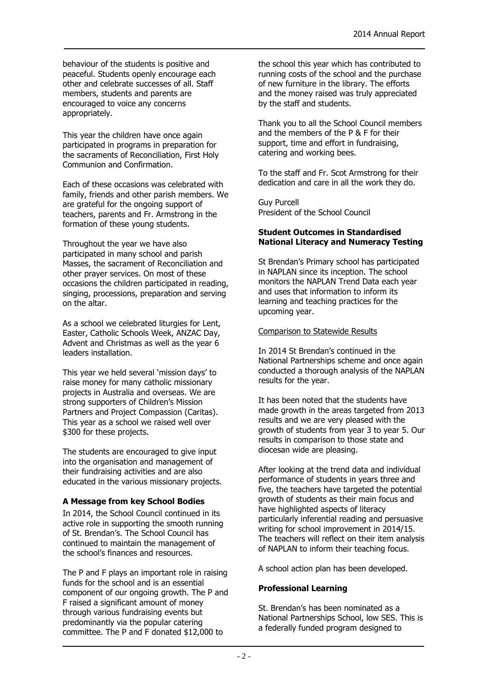behaviour of the students is positive and peaceful. Students openly encourage each other and celebrate successes of all. Staff members, students and parents are encouraged to voice any concerns appropriately.

This year the children have once again participated in programs in preparation for the sacraments of Reconciliation, First Holy Communion and Confirmation.

Each of these occasions was celebrated with family, friends and other parish members. We are grateful for the ongoing support of teachers, parents and Fr. Armstrong in the formation of these young students.

Throughout the year we have also participated in many school and parish Masses, the sacrament of Reconciliation and other prayer services. On most of these occasions the children participated in reading, singing, processions, preparation and serving on the altar.

As a school we celebrated liturgies for Lent, Easter, Catholic Schools Week, ANZAC Day, Advent and Christmas as well as the year 6 leaders installation.

This year we held several 'mission days' to raise money for many catholic missionary projects in Australia and overseas. We are strong supporters of Children's Mission Partners and Project Compassion (Caritas). This year as a school we raised well over \$300 for these projects.

The students are encouraged to give input into the organisation and management of their fundraising activities and are also educated in the various missionary projects.

#### **A Message from key School Bodies**

In 2014, the School Council continued in its active role in supporting the smooth running of St. Brendan's. The School Council has continued to maintain the management of the school's finances and resources.

The P and F plays an important role in raising funds for the school and is an essential component of our ongoing growth. The P and F raised a significant amount of money through various fundraising events but predominantly via the popular catering committee. The P and F donated \$12,000 to

the school this year which has contributed to running costs of the school and the purchase of new furniture in the library. The efforts and the money raised was truly appreciated by the staff and students.

Thank you to all the School Council members and the members of the P & F for their support, time and effort in fundraising, catering and working bees.

To the staff and Fr. Scot Armstrong for their dedication and care in all the work they do.

Guy Purcell President of the School Council

#### **Student Outcomes in Standardised National Literacy and Numeracy Testing**

St Brendan's Primary school has participated in NAPLAN since its inception. The school monitors the NAPLAN Trend Data each year and uses that information to inform its learning and teaching practices for the upcoming year.

#### Comparison to Statewide Results

In 2014 St Brendan's continued in the National Partnerships scheme and once again conducted a thorough analysis of the NAPLAN results for the year.

It has been noted that the students have made growth in the areas targeted from 2013 results and we are very pleased with the growth of students from year 3 to year 5. Our results in comparison to those state and diocesan wide are pleasing.

After looking at the trend data and individual performance of students in years three and five, the teachers have targeted the potential growth of students as their main focus and have highlighted aspects of literacy particularly inferential reading and persuasive writing for school improvement in 2014/15. The teachers will reflect on their item analysis of NAPLAN to inform their teaching focus.

A school action plan has been developed.

#### **Professional Learning**

St. Brendan's has been nominated as a National Partnerships School, low SES. This is a federally funded program designed to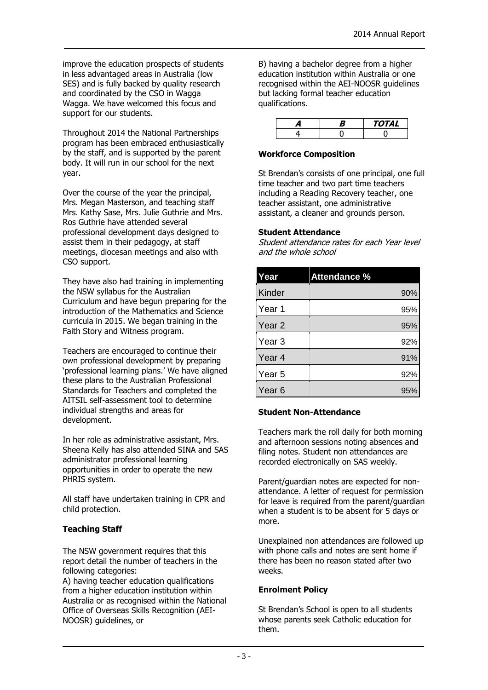improve the education prospects of students in less advantaged areas in Australia (low SES) and is fully backed by quality research and coordinated by the CSO in Wagga Wagga. We have welcomed this focus and support for our students.

Throughout 2014 the National Partnerships program has been embraced enthusiastically by the staff, and is supported by the parent body. It will run in our school for the next year.

Over the course of the year the principal, Mrs. Megan Masterson, and teaching staff Mrs. Kathy Sase, Mrs. Julie Guthrie and Mrs. Ros Guthrie have attended several professional development days designed to assist them in their pedagogy, at staff meetings, diocesan meetings and also with CSO support.

They have also had training in implementing the NSW syllabus for the Australian Curriculum and have begun preparing for the introduction of the Mathematics and Science curricula in 2015. We began training in the Faith Story and Witness program.

Teachers are encouraged to continue their own professional development by preparing 'professional learning plans.' We have aligned these plans to the Australian Professional Standards for Teachers and completed the AITSIL self-assessment tool to determine individual strengths and areas for development.

In her role as administrative assistant, Mrs. Sheena Kelly has also attended SINA and SAS administrator professional learning opportunities in order to operate the new PHRIS system.

All staff have undertaken training in CPR and child protection.

### **Teaching Staff**

The NSW government requires that this report detail the number of teachers in the following categories:

A) having teacher education qualifications from a higher education institution within Australia or as recognised within the National Office of Overseas Skills Recognition (AEI-NOOSR) guidelines, or

B) having a bachelor degree from a higher education institution within Australia or one recognised within the AEI-NOOSR guidelines but lacking formal teacher education qualifications.

|  | 'OTAL |
|--|-------|
|  |       |

#### **Workforce Composition**

St Brendan's consists of one principal, one full time teacher and two part time teachers including a Reading Recovery teacher, one teacher assistant, one administrative assistant, a cleaner and grounds person.

#### **Student Attendance**

Student attendance rates for each Year level and the whole school

| Year              | <b>Attendance %</b> |
|-------------------|---------------------|
| Kinder            | 90%                 |
| Year 1            | 95%                 |
| Year 2            | 95%                 |
| Year 3            | 92%                 |
| Year 4            | 91%                 |
| Year <sub>5</sub> | 92%                 |
| Year 6            | 95%                 |

#### **Student Non-Attendance**

Teachers mark the roll daily for both morning and afternoon sessions noting absences and filing notes. Student non attendances are recorded electronically on SAS weekly.

Parent/guardian notes are expected for nonattendance. A letter of request for permission for leave is required from the parent/guardian when a student is to be absent for 5 days or more.

Unexplained non attendances are followed up with phone calls and notes are sent home if there has been no reason stated after two weeks.

#### **Enrolment Policy**

St Brendan's School is open to all students whose parents seek Catholic education for them.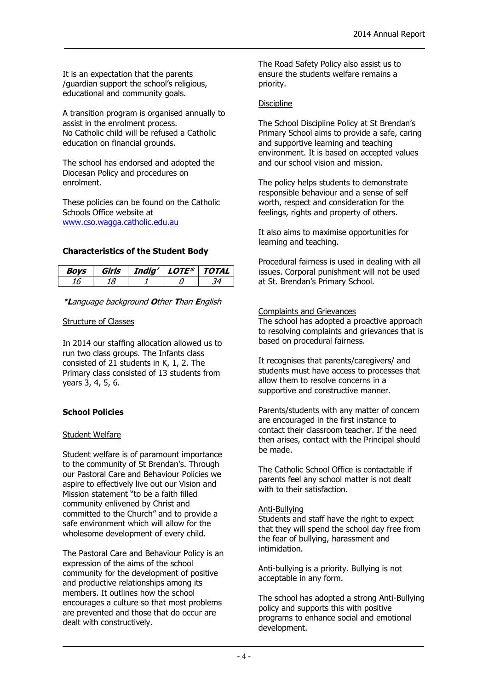It is an expectation that the parents /guardian support the school's religious, educational and community goals.

A transition program is organised annually to assist in the enrolment process. No Catholic child will be refused a Catholic education on financial grounds.

The school has endorsed and adopted the Diocesan Policy and procedures on enrolment.

These policies can be found on the Catholic Schools Office website at [www.cso.wagga.catholic.edu.au](http://www.cso.wagga.catholic.edu.au/)

#### **Characteristics of the Student Body**

| いいに | Girls | India' | <i>LOTF*</i> | TOTAL |
|-----|-------|--------|--------------|-------|
|     |       |        |              |       |

\***L**anguage background **O**ther **T**han **E**nglish

#### Structure of Classes

In 2014 our staffing allocation allowed us to run two class groups. The Infants class consisted of 21 students in K, 1, 2. The Primary class consisted of 13 students from years 3, 4, 5, 6.

#### **School Policies**

#### Student Welfare

Student welfare is of paramount importance to the community of St Brendan's. Through our Pastoral Care and Behaviour Policies we aspire to effectively live out our Vision and Mission statement "to be a faith filled community enlivened by Christ and committed to the Church" and to provide a safe environment which will allow for the wholesome development of every child.

The Pastoral Care and Behaviour Policy is an expression of the aims of the school community for the development of positive and productive relationships among its members. It outlines how the school encourages a culture so that most problems are prevented and those that do occur are dealt with constructively.

The Road Safety Policy also assist us to ensure the students welfare remains a priority.

#### **Discipline**

The School Discipline Policy at St Brendan's Primary School aims to provide a safe, caring and supportive learning and teaching environment. It is based on accepted values and our school vision and mission.

The policy helps students to demonstrate responsible behaviour and a sense of self worth, respect and consideration for the feelings, rights and property of others.

It also aims to maximise opportunities for learning and teaching.

Procedural fairness is used in dealing with all issues. Corporal punishment will not be used at St. Brendan's Primary School.

#### Complaints and Grievances

The school has adopted a proactive approach to resolving complaints and grievances that is based on procedural fairness.

It recognises that parents/caregivers/ and students must have access to processes that allow them to resolve concerns in a supportive and constructive manner.

Parents/students with any matter of concern are encouraged in the first instance to contact their classroom teacher. If the need then arises, contact with the Principal should be made.

The Catholic School Office is contactable if parents feel any school matter is not dealt with to their satisfaction.

#### Anti-Bullying

Students and staff have the right to expect that they will spend the school day free from the fear of bullying, harassment and intimidation.

Anti-bullying is a priority. Bullying is not acceptable in any form.

The school has adopted a strong Anti-Bullying policy and supports this with positive programs to enhance social and emotional development.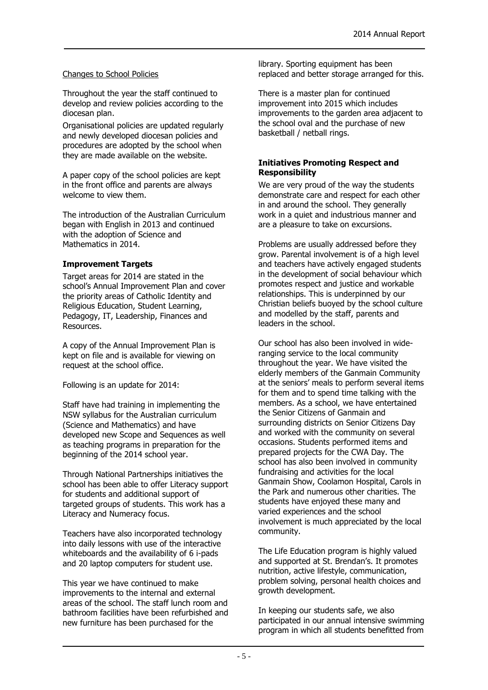#### Changes to School Policies

Throughout the year the staff continued to develop and review policies according to the diocesan plan.

Organisational policies are updated regularly and newly developed diocesan policies and procedures are adopted by the school when they are made available on the website.

A paper copy of the school policies are kept in the front office and parents are always welcome to view them.

The introduction of the Australian Curriculum began with English in 2013 and continued with the adoption of Science and Mathematics in 2014.

#### **Improvement Targets**

Target areas for 2014 are stated in the school's Annual Improvement Plan and cover the priority areas of Catholic Identity and Religious Education, Student Learning, Pedagogy, IT, Leadership, Finances and Resources.

A copy of the Annual Improvement Plan is kept on file and is available for viewing on request at the school office.

Following is an update for 2014:

Staff have had training in implementing the NSW syllabus for the Australian curriculum (Science and Mathematics) and have developed new Scope and Sequences as well as teaching programs in preparation for the beginning of the 2014 school year.

Through National Partnerships initiatives the school has been able to offer Literacy support for students and additional support of targeted groups of students. This work has a Literacy and Numeracy focus.

Teachers have also incorporated technology into daily lessons with use of the interactive whiteboards and the availability of 6 i-pads and 20 laptop computers for student use.

This year we have continued to make improvements to the internal and external areas of the school. The staff lunch room and bathroom facilities have been refurbished and new furniture has been purchased for the

library. Sporting equipment has been replaced and better storage arranged for this.

There is a master plan for continued improvement into 2015 which includes improvements to the garden area adjacent to the school oval and the purchase of new basketball / netball rings.

#### **Initiatives Promoting Respect and Responsibility**

We are very proud of the way the students demonstrate care and respect for each other in and around the school. They generally work in a quiet and industrious manner and are a pleasure to take on excursions.

Problems are usually addressed before they grow. Parental involvement is of a high level and teachers have actively engaged students in the development of social behaviour which promotes respect and justice and workable relationships. This is underpinned by our Christian beliefs buoyed by the school culture and modelled by the staff, parents and leaders in the school.

Our school has also been involved in wideranging service to the local community throughout the year. We have visited the elderly members of the Ganmain Community at the seniors' meals to perform several items for them and to spend time talking with the members. As a school, we have entertained the Senior Citizens of Ganmain and surrounding districts on Senior Citizens Day and worked with the community on several occasions. Students performed items and prepared projects for the CWA Day. The school has also been involved in community fundraising and activities for the local Ganmain Show, Coolamon Hospital, Carols in the Park and numerous other charities. The students have enjoyed these many and varied experiences and the school involvement is much appreciated by the local community.

The Life Education program is highly valued and supported at St. Brendan's. It promotes nutrition, active lifestyle, communication, problem solving, personal health choices and growth development.

In keeping our students safe, we also participated in our annual intensive swimming program in which all students benefitted from